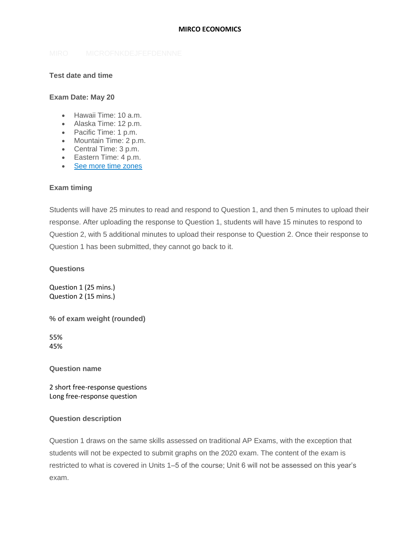### **MIRCO ECONOMICS**

## **Test date and time**

### **Exam Date: May 20**

- Hawaii Time: 10 a.m.
- Alaska Time: 12 p.m.
- Pacific Time: 1 p.m.
- Mountain Time: 2 p.m.
- Central Time: 3 p.m.
- Eastern Time: 4 p.m.
- [See more time zones](https://apcoronavirusupdates.collegeboard.org/node/201)

### **Exam timing**

Students will have 25 minutes to read and respond to Question 1, and then 5 minutes to upload their response. After uploading the response to Question 1, students will have 15 minutes to respond to Question 2, with 5 additional minutes to upload their response to Question 2. Once their response to Question 1 has been submitted, they cannot go back to it.

**Questions**

Question 1 (25 mins.) Question 2 (15 mins.)

**% of exam weight (rounded)**

55% 45%

**Question name**

2 short free-response questions Long free-response question

### **Question description**

Question 1 draws on the same skills assessed on traditional AP Exams, with the exception that students will not be expected to submit graphs on the 2020 exam. The content of the exam is restricted to what is covered in Units 1–5 of the course; Unit 6 will not be assessed on this year's exam.